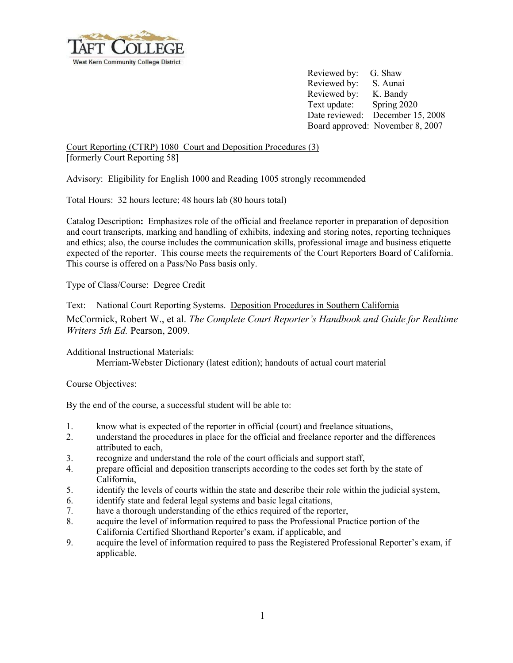

Reviewed by: G. Shaw Reviewed by: S. Aunai Reviewed by: K. Bandy Text update: Spring 2020 Date reviewed: December 15, 2008 Board approved: November 8, 2007

Court Reporting (CTRP) 1080 Court and Deposition Procedures (3) [formerly Court Reporting 58]

Advisory: Eligibility for English 1000 and Reading 1005 strongly recommended

Total Hours: 32 hours lecture; 48 hours lab (80 hours total)

Catalog Description**:** Emphasizes role of the official and freelance reporter in preparation of deposition and court transcripts, marking and handling of exhibits, indexing and storing notes, reporting techniques and ethics; also, the course includes the communication skills, professional image and business etiquette expected of the reporter. This course meets the requirements of the Court Reporters Board of California. This course is offered on a Pass/No Pass basis only.

Type of Class/Course: Degree Credit

Text: National Court Reporting Systems. Deposition Procedures in Southern California McCormick, Robert W., et al. *The Complete Court Reporter's Handbook and Guide for Realtime Writers 5th Ed.* Pearson, 2009.

Additional Instructional Materials:

Merriam-Webster Dictionary (latest edition); handouts of actual court material

Course Objectives:

By the end of the course, a successful student will be able to:

- 1. know what is expected of the reporter in official (court) and freelance situations,
- 2. understand the procedures in place for the official and freelance reporter and the differences attributed to each,
- 3. recognize and understand the role of the court officials and support staff,
- 4. prepare official and deposition transcripts according to the codes set forth by the state of California,
- 5. identify the levels of courts within the state and describe their role within the judicial system,
- 6. identify state and federal legal systems and basic legal citations,
- 7. have a thorough understanding of the ethics required of the reporter,
- 8. acquire the level of information required to pass the Professional Practice portion of the California Certified Shorthand Reporter's exam, if applicable, and
- 9. acquire the level of information required to pass the Registered Professional Reporter's exam, if applicable.